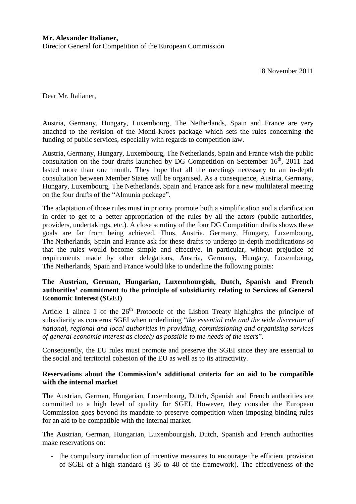Dear Mr. Italianer,

Austria, Germany, Hungary, Luxembourg, The Netherlands, Spain and France are very attached to the revision of the Monti-Kroes package which sets the rules concerning the funding of public services, especially with regards to competition law.

Austria, Germany, Hungary, Luxembourg, The Netherlands, Spain and France wish the public consultation on the four drafts launched by DG Competition on September  $16<sup>th</sup>$ , 2011 had lasted more than one month. They hope that all the meetings necessary to an in-depth consultation between Member States will be organised. As a consequence, Austria, Germany, Hungary, Luxembourg, The Netherlands, Spain and France ask for a new multilateral meeting on the four drafts of the "Almunia package".

The adaptation of those rules must in priority promote both a simplification and a clarification in order to get to a better appropriation of the rules by all the actors (public authorities, providers, undertakings, etc.). A close scrutiny of the four DG Competition drafts shows these goals are far from being achieved. Thus, Austria, Germany, Hungary, Luxembourg, The Netherlands, Spain and France ask for these drafts to undergo in-depth modifications so that the rules would become simple and effective. In particular, without prejudice of requirements made by other delegations, Austria, Germany, Hungary, Luxembourg, The Netherlands, Spain and France would like to underline the following points:

## **The Austrian, German, Hungarian, Luxembourgish, Dutch, Spanish and French authorities' commitment to the principle of subsidiarity relating to Services of General Economic Interest (SGEI)**

Article 1 alinea 1 of the  $26<sup>th</sup>$  Protocole of the Lisbon Treaty highlights the principle of subsidiarity as concerns SGEI when underlining "*the essential role and the wide discretion of national, regional and local authorities in providing, commissioning and organising services of general economic interest as closely as possible to the needs of the users*".

Consequently, the EU rules must promote and preserve the SGEI since they are essential to the social and territorial cohesion of the EU as well as to its attractivity.

## **Reservations about the Commission's additional criteria for an aid to be compatible with the internal market**

The Austrian, German, Hungarian, Luxembourg, Dutch, Spanish and French authorities are committed to a high level of quality for SGEI. However, they consider the European Commission goes beyond its mandate to preserve competition when imposing binding rules for an aid to be compatible with the internal market.

The Austrian, German, Hungarian, Luxembourgish, Dutch, Spanish and French authorities make reservations on:

- the compulsory introduction of incentive measures to encourage the efficient provision of SGEI of a high standard (§ 36 to 40 of the framework). The effectiveness of the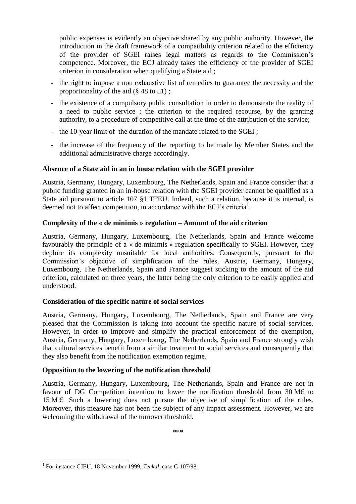public expenses is evidently an objective shared by any public authority. However, the introduction in the draft framework of a compatibility criterion related to the efficiency of the provider of SGEI raises legal matters as regards to the Commission's competence. Moreover, the ECJ already takes the efficiency of the provider of SGEI criterion in consideration when qualifying a State aid ;

- the right to impose a non exhaustive list of remedies to guarantee the necessity and the proportionality of the aid (§ 48 to 51) ;
- the existence of a compulsory public consultation in order to demonstrate the reality of a need to public service ; the criterion to the required recourse, by the granting authority, to a procedure of competitive call at the time of the attribution of the service;
- the 10-year limit of the duration of the mandate related to the SGEI ;
- the increase of the frequency of the reporting to be made by Member States and the additional administrative charge accordingly.

## **Absence of a State aid in an in house relation with the SGEI provider**

Austria, Germany, Hungary, Luxembourg, The Netherlands, Spain and France consider that a public funding granted in an in-house relation with the SGEI provider cannot be qualified as a State aid pursuant to article 107 §1 TFEU. Indeed, such a relation, because it is internal, is deemed not to affect competition, in accordance with the ECJ's criteria<sup>1</sup>.

## **Complexity of the « de minimis » regulation – Amount of the aid criterion**

Austria, Germany, Hungary, Luxembourg, The Netherlands, Spain and France welcome favourably the principle of a « de minimis » regulation specifically to SGEI. However, they deplore its complexity unsuitable for local authorities. Consequently, pursuant to the Commission's objective of simplification of the rules, Austria, Germany, Hungary, Luxembourg, The Netherlands, Spain and France suggest sticking to the amount of the aid criterion, calculated on three years, the latter being the only criterion to be easily applied and understood.

# **Consideration of the specific nature of social services**

Austria, Germany, Hungary, Luxembourg, The Netherlands, Spain and France are very pleased that the Commission is taking into account the specific nature of social services. However, in order to improve and simplify the practical enforcement of the exemption, Austria, Germany, Hungary, Luxembourg, The Netherlands, Spain and France strongly wish that cultural services benefit from a similar treatment to social services and consequently that they also benefit from the notification exemption regime.

# **Opposition to the lowering of the notification threshold**

Austria, Germany, Hungary, Luxembourg, The Netherlands, Spain and France are not in favour of DG Competition intention to lower the notification threshold from 30  $M\epsilon$  to 15 M  $\epsilon$ . Such a lowering does not pursue the objective of simplification of the rules. Moreover, this measure has not been the subject of any impact assessment. However, we are welcoming the withdrawal of the turnover threshold.

\*\*\*

 $\overline{a}$ 

<sup>&</sup>lt;sup>1</sup> For instance CJEU, 18 November 1999, *Teckal*, case C-107/98.